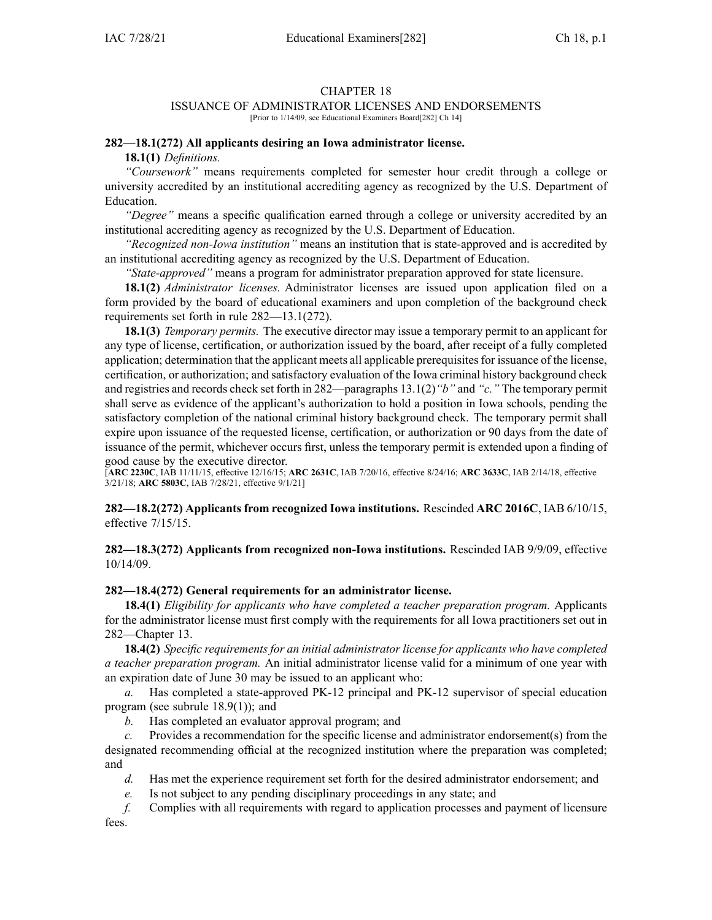#### CHAPTER 18

#### ISSUANCE OF ADMINISTRATOR LICENSES AND ENDORSEMENTS

[Prior to 1/14/09, see Educational Examiners Board[282] Ch 14]

# **282—18.1(272) All applicants desiring an Iowa administrator license.**

**18.1(1)** *Definitions.*

*"Coursework"* means requirements completed for semester hour credit through <sup>a</sup> college or university accredited by an institutional accrediting agency as recognized by the U.S. Department of Education.

*"Degree"* means <sup>a</sup> specific qualification earned through <sup>a</sup> college or university accredited by an institutional accrediting agency as recognized by the U.S. Department of Education.

*"Recognized non-Iowa institution"* means an institution that is state-approved and is accredited by an institutional accrediting agency as recognized by the U.S. Department of Education.

*"State-approved"* means <sup>a</sup> program for administrator preparation approved for state licensure.

**18.1(2)** *Administrator licenses.* Administrator licenses are issued upon application filed on <sup>a</sup> form provided by the board of educational examiners and upon completion of the background check requirements set forth in rule [282—13.1](https://www.legis.iowa.gov/docs/iac/rule/282.13.1.pdf)(272).

**18.1(3)** *Temporary permits.* The executive director may issue <sup>a</sup> temporary permit to an applicant for any type of license, certification, or authorization issued by the board, after receipt of <sup>a</sup> fully completed application; determination that the applicant meets all applicable prerequisites for issuance of the license, certification, or authorization; and satisfactory evaluation of the Iowa criminal history background check and registries and records check set forth in 282—paragraphs [13.1\(2\)](https://www.legis.iowa.gov/docs/iac/rule/282.13.1.pdf)*"b"* and *"c."* The temporary permit shall serve as evidence of the applicant's authorization to hold <sup>a</sup> position in Iowa schools, pending the satisfactory completion of the national criminal history background check. The temporary permit shall expire upon issuance of the requested license, certification, or authorization or 90 days from the date of issuance of the permit, whichever occurs first, unless the temporary permit is extended upon <sup>a</sup> finding of good cause by the executive director.

[**ARC [2230C](https://www.legis.iowa.gov/docs/aco/arc/2230C.pdf)**, IAB 11/11/15, effective 12/16/15; **ARC [2631C](https://www.legis.iowa.gov/docs/aco/arc/2631C.pdf)**, IAB 7/20/16, effective 8/24/16; **ARC [3633C](https://www.legis.iowa.gov/docs/aco/arc/3633C.pdf)**, IAB 2/14/18, effective 3/21/18; **ARC [5803C](https://www.legis.iowa.gov/docs/aco/arc/5803C.pdf)**, IAB 7/28/21, effective 9/1/21]

# **282—18.2(272) Applicants from recognized Iowa institutions.** Rescinded **ARC 2016C**, IAB [6/10/15](https://www.legis.iowa.gov/docs/aco/bulletin/06-10-2015.pdf), effective 7/15/15.

# **282—18.3(272) Applicants from recognized non-Iowa institutions.** Rescinded IAB [9/9/09](https://www.legis.iowa.gov/docs/aco/bulletin/09-09-2009.pdf), effective 10/14/09.

# **282—18.4(272) General requirements for an administrator license.**

**18.4(1)** *Eligibility for applicants who have completed <sup>a</sup> teacher preparation program.* Applicants for the administrator license must first comply with the requirements for all Iowa practitioners set out in [282—Chapter](https://www.legis.iowa.gov/docs/iac/chapter/282.13.pdf) 13.

**18.4(2)** *Specific requirements for an initial administrator license for applicants who have completed <sup>a</sup> teacher preparation program.* An initial administrator license valid for <sup>a</sup> minimum of one year with an expiration date of June 30 may be issued to an applicant who:

*a.* Has completed <sup>a</sup> state-approved PK-12 principal and PK-12 supervisor of special education program (see subrule [18.9\(1\)](https://www.legis.iowa.gov/docs/iac/rule/282.18.9.pdf)); and

*b.* Has completed an evaluator approval program; and

*c.* Provides <sup>a</sup> recommendation for the specific license and administrator endorsement(s) from the designated recommending official at the recognized institution where the preparation was completed; and

*d.* Has met the experience requirement set forth for the desired administrator endorsement; and

*e.* Is not subject to any pending disciplinary proceedings in any state; and

*f.* Complies with all requirements with regard to application processes and paymen<sup>t</sup> of licensure fees.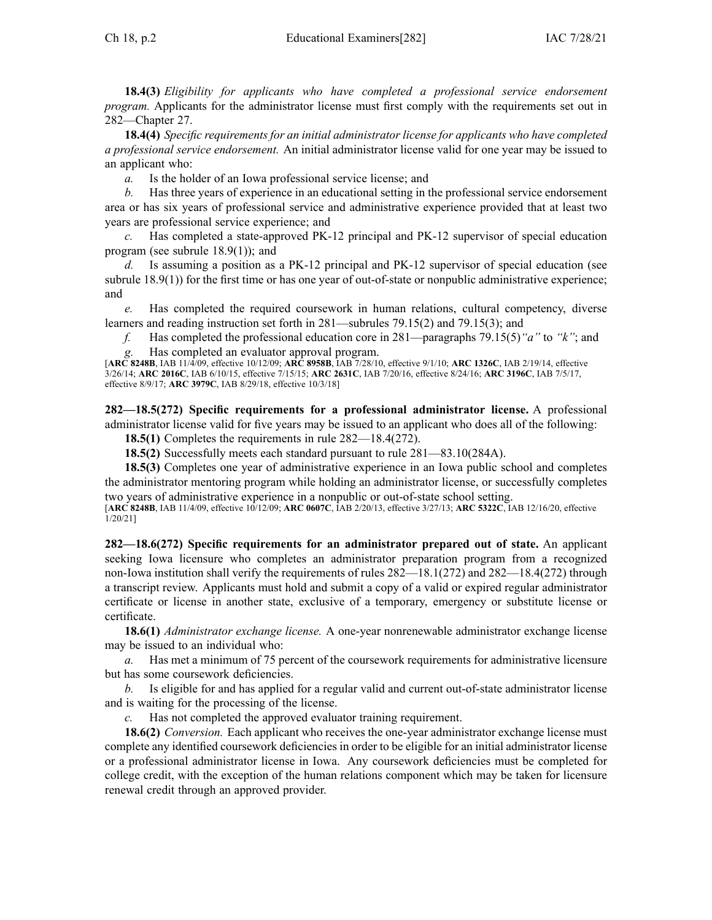**18.4(3)** *Eligibility for applicants who have completed <sup>a</sup> professional service endorsement program.* Applicants for the administrator license must first comply with the requirements set out in [282—Chapter](https://www.legis.iowa.gov/docs/iac/chapter/282.27.pdf) 27.

**18.4(4)** *Specific requirements for an initial administrator license for applicants who have completed <sup>a</sup> professional service endorsement.* An initial administrator license valid for one year may be issued to an applicant who:

*a.* Is the holder of an Iowa professional service license; and

*b.* Has three years of experience in an educational setting in the professional service endorsement area or has six years of professional service and administrative experience provided that at least two years are professional service experience; and

*c.* Has completed <sup>a</sup> state-approved PK-12 principal and PK-12 supervisor of special education program (see subrule [18.9\(1\)](https://www.legis.iowa.gov/docs/iac/rule/282.18.9.pdf)); and

*d.* Is assuming <sup>a</sup> position as <sup>a</sup> PK-12 principal and PK-12 supervisor of special education (see subrule [18.9\(1\)](https://www.legis.iowa.gov/docs/iac/rule/282.18.9.pdf)) for the first time or has one year of out-of-state or nonpublic administrative experience; and

*e.* Has completed the required coursework in human relations, cultural competency, diverse learners and reading instruction set forth in [281—subrules](https://www.legis.iowa.gov/docs/iac/rule/281.79.15.pdf) 79.15(2) and [79.15\(3\)](https://www.legis.iowa.gov/docs/iac/rule/281.79.15.pdf); and

*f.* Has completed the professional education core in [281—paragraphs](https://www.legis.iowa.gov/docs/iac/rule/281.79.15.pdf) 79.15(5)*"a"* to *"k"*; and *g.* Has completed an evaluator approval program.

[**ARC [8248B](https://www.legis.iowa.gov/docs/aco/arc/8248B.pdf)**, IAB 11/4/09, effective 10/12/09; **ARC [8958B](https://www.legis.iowa.gov/docs/aco/arc/8958B.pdf)**, IAB 7/28/10, effective 9/1/10; **ARC [1326C](https://www.legis.iowa.gov/docs/aco/arc/1326C.pdf)**, IAB 2/19/14, effective 3/26/14; **ARC [2016C](https://www.legis.iowa.gov/docs/aco/arc/2016C.pdf)**, IAB 6/10/15, effective 7/15/15; **ARC [2631C](https://www.legis.iowa.gov/docs/aco/arc/2631C.pdf)**, IAB 7/20/16, effective 8/24/16; **ARC [3196C](https://www.legis.iowa.gov/docs/aco/arc/3196C.pdf)**, IAB 7/5/17, effective 8/9/17; **ARC [3979C](https://www.legis.iowa.gov/docs/aco/arc/3979C.pdf)**, IAB 8/29/18, effective 10/3/18]

**282—18.5(272) Specific requirements for <sup>a</sup> professional administrator license.** A professional administrator license valid for five years may be issued to an applicant who does all of the following:

**18.5(1)** Completes the requirements in rule 282—18.4(272).

**18.5(2)** Successfully meets each standard pursuan<sup>t</sup> to rule 281—83.10(284A).

**18.5(3)** Completes one year of administrative experience in an Iowa public school and completes the administrator mentoring program while holding an administrator license, or successfully completes two years of administrative experience in <sup>a</sup> nonpublic or out-of-state school setting.

[**ARC [8248B](https://www.legis.iowa.gov/docs/aco/arc/8248B.pdf)**, IAB 11/4/09, effective 10/12/09; **ARC [0607C](https://www.legis.iowa.gov/docs/aco/arc/0607C.pdf)**, IAB 2/20/13, effective 3/27/13; **ARC [5322C](https://www.legis.iowa.gov/docs/aco/arc/5322C.pdf)**, IAB 12/16/20, effective 1/20/21]

**282—18.6(272) Specific requirements for an administrator prepared out of state.** An applicant seeking Iowa licensure who completes an administrator preparation program from <sup>a</sup> recognized non-Iowa institution shall verify the requirements of rules [282—18.1](https://www.legis.iowa.gov/docs/iac/rule/282.18.1.pdf)(272) and [282—18.4](https://www.legis.iowa.gov/docs/iac/rule/282.18.4.pdf)(272) through <sup>a</sup> transcript review. Applicants must hold and submit <sup>a</sup> copy of <sup>a</sup> valid or expired regular administrator certificate or license in another state, exclusive of <sup>a</sup> temporary, emergency or substitute license or certificate.

**18.6(1)** *Administrator exchange license.* A one-year nonrenewable administrator exchange license may be issued to an individual who:

*a.* Has met <sup>a</sup> minimum of 75 percen<sup>t</sup> of the coursework requirements for administrative licensure but has some coursework deficiencies.

*b.* Is eligible for and has applied for <sup>a</sup> regular valid and current out-of-state administrator license and is waiting for the processing of the license.

*c.* Has not completed the approved evaluator training requirement.

**18.6(2)** *Conversion.* Each applicant who receives the one-year administrator exchange license must complete any identified coursework deficiencies in order to be eligible for an initial administrator license or <sup>a</sup> professional administrator license in Iowa. Any coursework deficiencies must be completed for college credit, with the exception of the human relations componen<sup>t</sup> which may be taken for licensure renewal credit through an approved provider.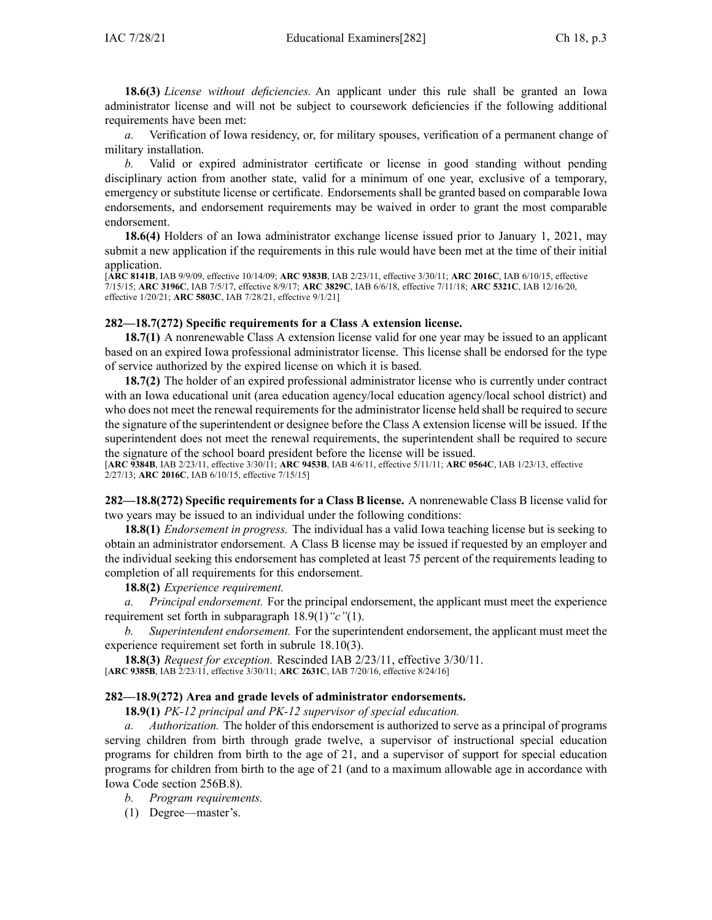**18.6(3)** *License without deficiencies.* An applicant under this rule shall be granted an Iowa administrator license and will not be subject to coursework deficiencies if the following additional requirements have been met:

*a.* Verification of Iowa residency, or, for military spouses, verification of <sup>a</sup> permanen<sup>t</sup> change of military installation.

*b.* Valid or expired administrator certificate or license in good standing without pending disciplinary action from another state, valid for <sup>a</sup> minimum of one year, exclusive of <sup>a</sup> temporary, emergency or substitute license or certificate. Endorsements shall be granted based on comparable Iowa endorsements, and endorsement requirements may be waived in order to gran<sup>t</sup> the most comparable endorsement.

**18.6(4)** Holders of an Iowa administrator exchange license issued prior to January 1, 2021, may submit <sup>a</sup> new application if the requirements in this rule would have been met at the time of their initial application.

[**ARC [8141B](https://www.legis.iowa.gov/docs/aco/arc/8141B.pdf)**, IAB 9/9/09, effective 10/14/09; **ARC [9383B](https://www.legis.iowa.gov/docs/aco/arc/9383B.pdf)**, IAB 2/23/11, effective 3/30/11; **ARC [2016C](https://www.legis.iowa.gov/docs/aco/arc/2016C.pdf)**, IAB 6/10/15, effective 7/15/15; **ARC [3196C](https://www.legis.iowa.gov/docs/aco/arc/3196C.pdf)**, IAB 7/5/17, effective 8/9/17; **ARC [3829C](https://www.legis.iowa.gov/docs/aco/arc/3829C.pdf)**, IAB 6/6/18, effective 7/11/18; **ARC [5321C](https://www.legis.iowa.gov/docs/aco/arc/5321C.pdf)**, IAB 12/16/20, effective 1/20/21; **ARC [5803C](https://www.legis.iowa.gov/docs/aco/arc/5803C.pdf)**, IAB 7/28/21, effective 9/1/21]

# **282—18.7(272) Specific requirements for <sup>a</sup> Class A extension license.**

**18.7(1)** A nonrenewable Class A extension license valid for one year may be issued to an applicant based on an expired Iowa professional administrator license. This license shall be endorsed for the type of service authorized by the expired license on which it is based.

**18.7(2)** The holder of an expired professional administrator license who is currently under contract with an Iowa educational unit (area education agency/local education agency/local school district) and who does not meet the renewal requirements for the administrator license held shall be required to secure the signature of the superintendent or designee before the Class A extension license will be issued. If the superintendent does not meet the renewal requirements, the superintendent shall be required to secure the signature of the school board president before the license will be issued.

[**ARC [9384B](https://www.legis.iowa.gov/docs/aco/arc/9384B.pdf)**, IAB 2/23/11, effective 3/30/11; **ARC [9453B](https://www.legis.iowa.gov/docs/aco/arc/9453B.pdf)**, IAB 4/6/11, effective 5/11/11; **ARC [0564C](https://www.legis.iowa.gov/docs/aco/arc/0564C.pdf)**, IAB 1/23/13, effective 2/27/13; **ARC [2016C](https://www.legis.iowa.gov/docs/aco/arc/2016C.pdf)**, IAB 6/10/15, effective 7/15/15]

**282—18.8(272) Specific requirements for <sup>a</sup> Class B license.** A nonrenewable Class B license valid for two years may be issued to an individual under the following conditions:

**18.8(1)** *Endorsement in progress.* The individual has <sup>a</sup> valid Iowa teaching license but is seeking to obtain an administrator endorsement. A Class B license may be issued if requested by an employer and the individual seeking this endorsement has completed at least 75 percen<sup>t</sup> of the requirements leading to completion of all requirements for this endorsement.

**18.8(2)** *Experience requirement.*

*a. Principal endorsement.* For the principal endorsement, the applicant must meet the experience requirement set forth in subparagraph [18.9\(1\)](https://www.legis.iowa.gov/docs/iac/rule/282.18.9.pdf)*"c"*(1).

*b. Superintendent endorsement.* For the superintendent endorsement, the applicant must meet the experience requirement set forth in subrule [18.10\(3\)](https://www.legis.iowa.gov/docs/iac/rule/282.18.10.pdf).

**18.8(3)** *Request for exception.* Rescinded IAB 2/23/11, effective 3/30/11. [**ARC [9385B](https://www.legis.iowa.gov/docs/aco/arc/9385B.pdf)**, IAB 2/23/11, effective 3/30/11; **ARC [2631C](https://www.legis.iowa.gov/docs/aco/arc/2631C.pdf)**, IAB 7/20/16, effective 8/24/16]

# **282—18.9(272) Area and grade levels of administrator endorsements.**

**18.9(1)** *PK-12 principal and PK-12 supervisor of special education.*

*a. Authorization.* The holder of this endorsement is authorized to serve as <sup>a</sup> principal of programs serving children from birth through grade twelve, <sup>a</sup> supervisor of instructional special education programs for children from birth to the age of 21, and <sup>a</sup> supervisor of suppor<sup>t</sup> for special education programs for children from birth to the age of 21 (and to <sup>a</sup> maximum allowable age in accordance with Iowa Code section [256B.8\)](https://www.legis.iowa.gov/docs/ico/section/256B.8.pdf).

*b. Program requirements.*

(1) Degree—master's.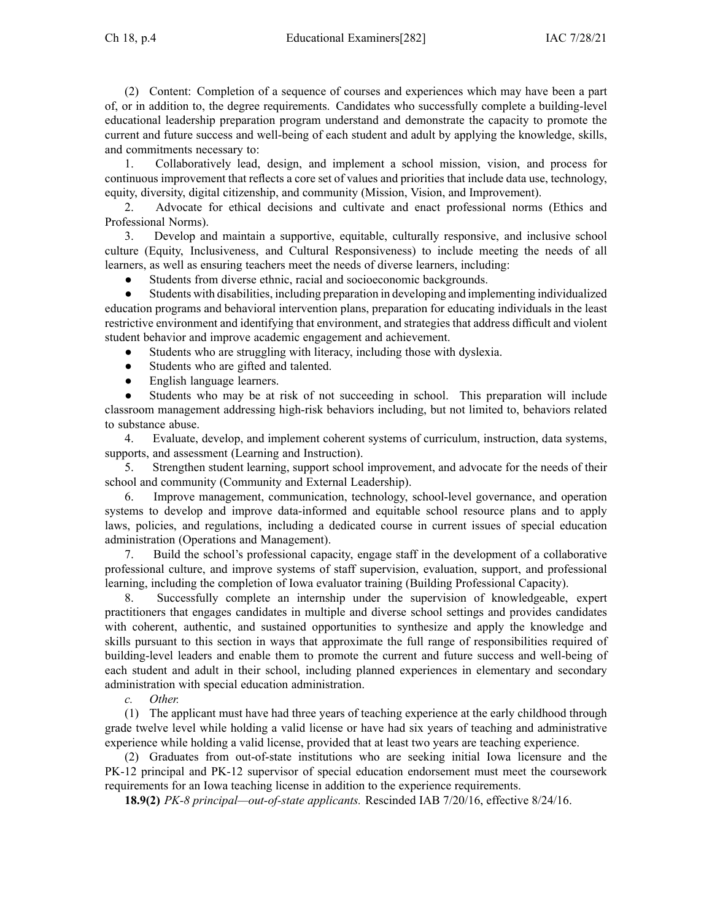(2) Content: Completion of <sup>a</sup> sequence of courses and experiences which may have been <sup>a</sup> par<sup>t</sup> of, or in addition to, the degree requirements. Candidates who successfully complete <sup>a</sup> building-level educational leadership preparation program understand and demonstrate the capacity to promote the current and future success and well-being of each student and adult by applying the knowledge, skills, and commitments necessary to:

1. Collaboratively lead, design, and implement <sup>a</sup> school mission, vision, and process for continuous improvement that reflects <sup>a</sup> core set of values and priorities that include data use, technology, equity, diversity, digital citizenship, and community (Mission, Vision, and Improvement).

2. Advocate for ethical decisions and cultivate and enact professional norms (Ethics and Professional Norms).

3. Develop and maintain <sup>a</sup> supportive, equitable, culturally responsive, and inclusive school culture (Equity, Inclusiveness, and Cultural Responsiveness) to include meeting the needs of all learners, as well as ensuring teachers meet the needs of diverse learners, including:

●Students from diverse ethnic, racial and socioeconomic backgrounds.

● Students with disabilities, including preparation in developing and implementing individualized education programs and behavioral intervention plans, preparation for educating individuals in the least restrictive environment and identifying that environment, and strategies that address difficult and violent student behavior and improve academic engagemen<sup>t</sup> and achievement.

- ●Students who are struggling with literacy, including those with dyslexia.
- ●Students who are gifted and talented.
- ●English language learners.

● Students who may be at risk of not succeeding in school. This preparation will include classroom managemen<sup>t</sup> addressing high-risk behaviors including, but not limited to, behaviors related to substance abuse.

4. Evaluate, develop, and implement coherent systems of curriculum, instruction, data systems, supports, and assessment (Learning and Instruction).

5. Strengthen student learning, suppor<sup>t</sup> school improvement, and advocate for the needs of their school and community (Community and External Leadership).

6. Improve management, communication, technology, school-level governance, and operation systems to develop and improve data-informed and equitable school resource plans and to apply laws, policies, and regulations, including <sup>a</sup> dedicated course in current issues of special education administration (Operations and Management).

7. Build the school's professional capacity, engage staff in the development of <sup>a</sup> collaborative professional culture, and improve systems of staff supervision, evaluation, support, and professional learning, including the completion of Iowa evaluator training (Building Professional Capacity).

8. Successfully complete an internship under the supervision of knowledgeable, exper<sup>t</sup> practitioners that engages candidates in multiple and diverse school settings and provides candidates with coherent, authentic, and sustained opportunities to synthesize and apply the knowledge and skills pursuan<sup>t</sup> to this section in ways that approximate the full range of responsibilities required of building-level leaders and enable them to promote the current and future success and well-being of each student and adult in their school, including planned experiences in elementary and secondary administration with special education administration.

*c. Other.*

(1) The applicant must have had three years of teaching experience at the early childhood through grade twelve level while holding <sup>a</sup> valid license or have had six years of teaching and administrative experience while holding <sup>a</sup> valid license, provided that at least two years are teaching experience.

(2) Graduates from out-of-state institutions who are seeking initial Iowa licensure and the PK-12 principal and PK-12 supervisor of special education endorsement must meet the coursework requirements for an Iowa teaching license in addition to the experience requirements.

**18.9(2)** *PK-8 principal—out-of-state applicants.* Rescinded IAB 7/20/16, effective 8/24/16.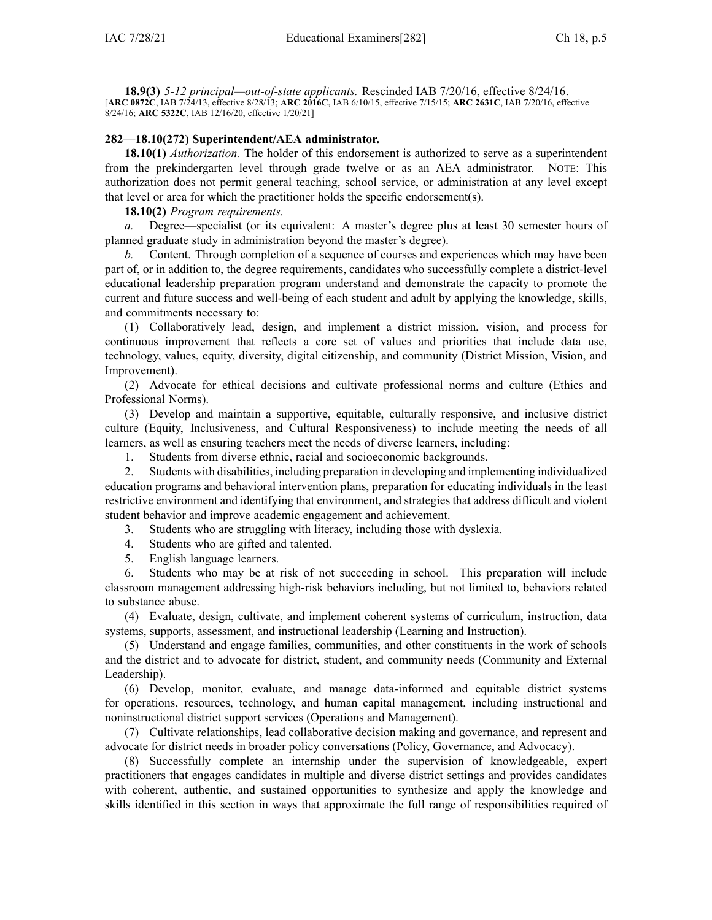**18.9(3)** *5-12 principal—out-of-state applicants.* Rescinded IAB 7/20/16, effective 8/24/16. [**ARC [0872C](https://www.legis.iowa.gov/docs/aco/arc/0872C.pdf)**, IAB 7/24/13, effective 8/28/13; **ARC [2016C](https://www.legis.iowa.gov/docs/aco/arc/2016C.pdf)**, IAB 6/10/15, effective 7/15/15; **ARC [2631C](https://www.legis.iowa.gov/docs/aco/arc/2631C.pdf)**, IAB 7/20/16, effective 8/24/16; **ARC [5322C](https://www.legis.iowa.gov/docs/aco/arc/5322C.pdf)**, IAB 12/16/20, effective 1/20/21]

#### **282—18.10(272) Superintendent/AEA administrator.**

**18.10(1)** *Authorization.* The holder of this endorsement is authorized to serve as <sup>a</sup> superintendent from the prekindergarten level through grade twelve or as an AEA administrator. NOTE: This authorization does not permit general teaching, school service, or administration at any level excep<sup>t</sup> that level or area for which the practitioner holds the specific endorsement(s).

**18.10(2)** *Program requirements.*

*a.* Degree—specialist (or its equivalent: A master's degree plus at least 30 semester hours of planned graduate study in administration beyond the master's degree).

*b.* Content. Through completion of <sup>a</sup> sequence of courses and experiences which may have been par<sup>t</sup> of, or in addition to, the degree requirements, candidates who successfully complete <sup>a</sup> district-level educational leadership preparation program understand and demonstrate the capacity to promote the current and future success and well-being of each student and adult by applying the knowledge, skills, and commitments necessary to:

(1) Collaboratively lead, design, and implement <sup>a</sup> district mission, vision, and process for continuous improvement that reflects <sup>a</sup> core set of values and priorities that include data use, technology, values, equity, diversity, digital citizenship, and community (District Mission, Vision, and Improvement).

(2) Advocate for ethical decisions and cultivate professional norms and culture (Ethics and Professional Norms).

(3) Develop and maintain <sup>a</sup> supportive, equitable, culturally responsive, and inclusive district culture (Equity, Inclusiveness, and Cultural Responsiveness) to include meeting the needs of all learners, as well as ensuring teachers meet the needs of diverse learners, including:

1. Students from diverse ethnic, racial and socioeconomic backgrounds.

2. Students with disabilities, including preparation in developing and implementing individualized education programs and behavioral intervention plans, preparation for educating individuals in the least restrictive environment and identifying that environment, and strategies that address difficult and violent student behavior and improve academic engagemen<sup>t</sup> and achievement.

3. Students who are struggling with literacy, including those with dyslexia.

4. Students who are gifted and talented.

5. English language learners.

6. Students who may be at risk of not succeeding in school. This preparation will include classroom managemen<sup>t</sup> addressing high-risk behaviors including, but not limited to, behaviors related to substance abuse.

(4) Evaluate, design, cultivate, and implement coherent systems of curriculum, instruction, data systems, supports, assessment, and instructional leadership (Learning and Instruction).

(5) Understand and engage families, communities, and other constituents in the work of schools and the district and to advocate for district, student, and community needs (Community and External Leadership).

(6) Develop, monitor, evaluate, and manage data-informed and equitable district systems for operations, resources, technology, and human capital management, including instructional and noninstructional district suppor<sup>t</sup> services (Operations and Management).

(7) Cultivate relationships, lead collaborative decision making and governance, and represen<sup>t</sup> and advocate for district needs in broader policy conversations (Policy, Governance, and Advocacy).

(8) Successfully complete an internship under the supervision of knowledgeable, exper<sup>t</sup> practitioners that engages candidates in multiple and diverse district settings and provides candidates with coherent, authentic, and sustained opportunities to synthesize and apply the knowledge and skills identified in this section in ways that approximate the full range of responsibilities required of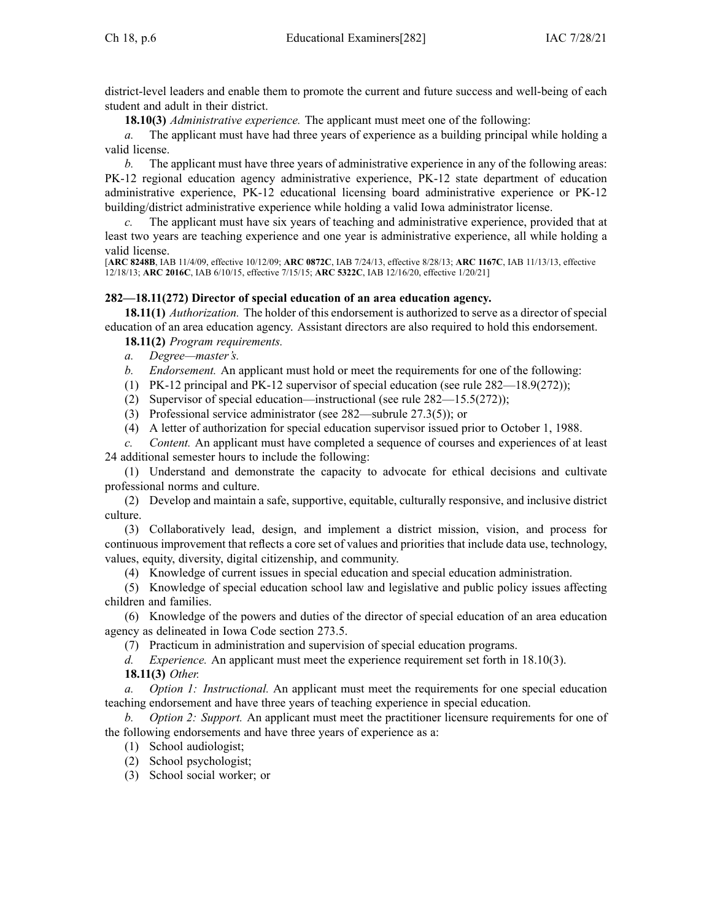district-level leaders and enable them to promote the current and future success and well-being of each student and adult in their district.

**18.10(3)** *Administrative experience.* The applicant must meet one of the following:

*a.* The applicant must have had three years of experience as <sup>a</sup> building principal while holding <sup>a</sup> valid license.

*b.* The applicant must have three years of administrative experience in any of the following areas: PK-12 regional education agency administrative experience, PK-12 state department of education administrative experience, PK-12 educational licensing board administrative experience or PK-12 building/district administrative experience while holding <sup>a</sup> valid Iowa administrator license.

*c.* The applicant must have six years of teaching and administrative experience, provided that at least two years are teaching experience and one year is administrative experience, all while holding <sup>a</sup> valid license.

[**ARC [8248B](https://www.legis.iowa.gov/docs/aco/arc/8248B.pdf)**, IAB 11/4/09, effective 10/12/09; **ARC [0872C](https://www.legis.iowa.gov/docs/aco/arc/0872C.pdf)**, IAB 7/24/13, effective 8/28/13; **ARC [1167C](https://www.legis.iowa.gov/docs/aco/arc/1167C.pdf)**, IAB 11/13/13, effective 12/18/13; **ARC [2016C](https://www.legis.iowa.gov/docs/aco/arc/2016C.pdf)**, IAB 6/10/15, effective 7/15/15; **ARC [5322C](https://www.legis.iowa.gov/docs/aco/arc/5322C.pdf)**, IAB 12/16/20, effective 1/20/21]

# **282—18.11(272) Director of special education of an area education agency.**

**18.11(1)** *Authorization.* The holder of this endorsement is authorized to serve as <sup>a</sup> director of special education of an area education agency. Assistant directors are also required to hold this endorsement.

**18.11(2)** *Program requirements.*

*a. Degree—master's.*

*b. Endorsement.* An applicant must hold or meet the requirements for one of the following:

(1) PK-12 principal and PK-12 supervisor of special education (see rule [282—18.9](https://www.legis.iowa.gov/docs/iac/rule/282.18.9.pdf)(272));

- (2) Supervisor of special education—instructional (see rule [282—15.5](https://www.legis.iowa.gov/docs/iac/rule/282.15.5.pdf)(272));
- (3) Professional service administrator (see [282—subrule](https://www.legis.iowa.gov/docs/iac/rule/282.27.3.pdf) 27.3(5)); or
- (4) A letter of authorization for special education supervisor issued prior to October 1, 1988.

*c. Content.* An applicant must have completed <sup>a</sup> sequence of courses and experiences of at least 24 additional semester hours to include the following:

(1) Understand and demonstrate the capacity to advocate for ethical decisions and cultivate professional norms and culture.

(2) Develop and maintain <sup>a</sup> safe, supportive, equitable, culturally responsive, and inclusive district culture.

(3) Collaboratively lead, design, and implement <sup>a</sup> district mission, vision, and process for continuous improvement that reflects <sup>a</sup> core set of values and priorities that include data use, technology, values, equity, diversity, digital citizenship, and community.

(4) Knowledge of current issues in special education and special education administration.

(5) Knowledge of special education school law and legislative and public policy issues affecting children and families.

(6) Knowledge of the powers and duties of the director of special education of an area education agency as delineated in Iowa Code section [273.5](https://www.legis.iowa.gov/docs/ico/section/273.5.pdf).

(7) Practicum in administration and supervision of special education programs.

*d. Experience.* An applicant must meet the experience requirement set forth in 18.10(3). **18.11(3)** *Other.*

*a. Option 1: Instructional.* An applicant must meet the requirements for one special education teaching endorsement and have three years of teaching experience in special education.

*Option* 2: *Support.* An applicant must meet the practitioner licensure requirements for one of the following endorsements and have three years of experience as a:

- (1) School audiologist;
- (2) School psychologist;
- (3) School social worker; or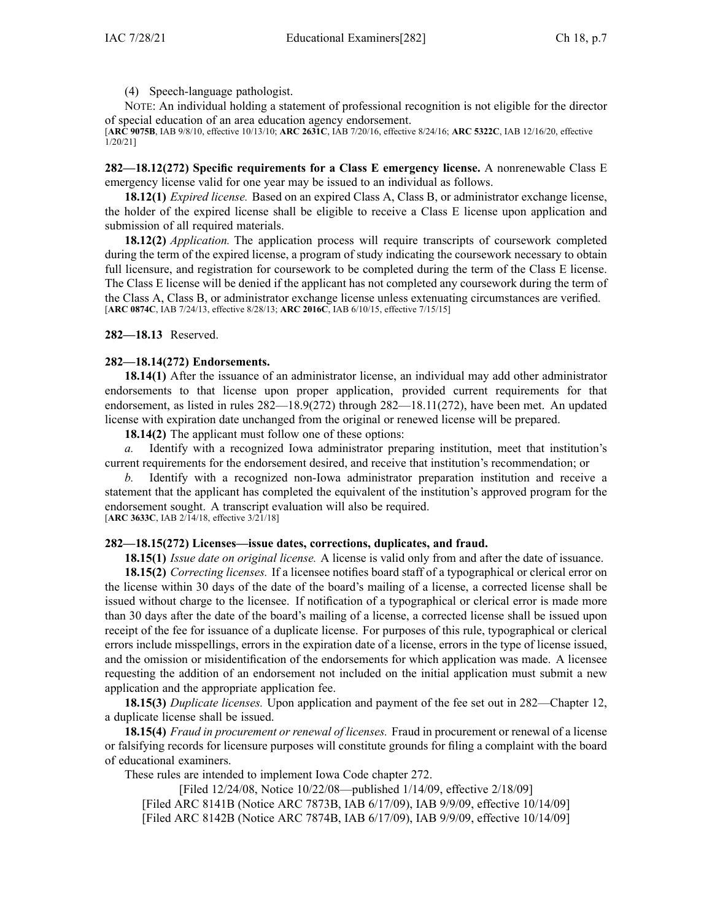(4) Speech-language pathologist.

NOTE: An individual holding <sup>a</sup> statement of professional recognition is not eligible for the director of special education of an area education agency endorsement.

[**ARC [9075B](https://www.legis.iowa.gov/docs/aco/arc/9075B.pdf)**, IAB 9/8/10, effective 10/13/10; **ARC [2631C](https://www.legis.iowa.gov/docs/aco/arc/2631C.pdf)**, IAB 7/20/16, effective 8/24/16; **ARC [5322C](https://www.legis.iowa.gov/docs/aco/arc/5322C.pdf)**, IAB 12/16/20, effective 1/20/21]

**282—18.12(272) Specific requirements for <sup>a</sup> Class E emergency license.** A nonrenewable Class E emergency license valid for one year may be issued to an individual as follows.

**18.12(1)** *Expired license.* Based on an expired Class A, Class B, or administrator exchange license, the holder of the expired license shall be eligible to receive <sup>a</sup> Class E license upon application and submission of all required materials.

**18.12(2)** *Application.* The application process will require transcripts of coursework completed during the term of the expired license, <sup>a</sup> program of study indicating the coursework necessary to obtain full licensure, and registration for coursework to be completed during the term of the Class E license. The Class E license will be denied if the applicant has not completed any coursework during the term of the Class A, Class B, or administrator exchange license unless extenuating circumstances are verified. [**ARC [0874C](https://www.legis.iowa.gov/docs/aco/arc/0874C.pdf)**, IAB 7/24/13, effective 8/28/13; **ARC [2016C](https://www.legis.iowa.gov/docs/aco/arc/2016C.pdf)**, IAB 6/10/15, effective 7/15/15]

**282—18.13** Reserved.

#### **282—18.14(272) Endorsements.**

**18.14(1)** After the issuance of an administrator license, an individual may add other administrator endorsements to that license upon proper application, provided current requirements for that endorsement, as listed in rules [282—18.9](https://www.legis.iowa.gov/docs/iac/rule/282.18.9.pdf)(272) through [282—18.11](https://www.legis.iowa.gov/docs/iac/rule/282.18.11.pdf)(272), have been met. An updated license with expiration date unchanged from the original or renewed license will be prepared.

**18.14(2)** The applicant must follow one of these options:

*a.* Identify with <sup>a</sup> recognized Iowa administrator preparing institution, meet that institution's current requirements for the endorsement desired, and receive that institution's recommendation; or

*b.* Identify with <sup>a</sup> recognized non-Iowa administrator preparation institution and receive <sup>a</sup> statement that the applicant has completed the equivalent of the institution's approved program for the endorsement sought. A transcript evaluation will also be required. [**ARC [3633C](https://www.legis.iowa.gov/docs/aco/arc/3633C.pdf)**, IAB 2/14/18, effective 3/21/18]

#### **282—18.15(272) Licenses—issue dates, corrections, duplicates, and fraud.**

**18.15(1)** *Issue date on original license.* A license is valid only from and after the date of issuance.

**18.15(2)** *Correcting licenses.* If <sup>a</sup> licensee notifies board staff of <sup>a</sup> typographical or clerical error on the license within 30 days of the date of the board's mailing of <sup>a</sup> license, <sup>a</sup> corrected license shall be issued without charge to the licensee. If notification of <sup>a</sup> typographical or clerical error is made more than 30 days after the date of the board's mailing of <sup>a</sup> license, <sup>a</sup> corrected license shall be issued upon receipt of the fee for issuance of <sup>a</sup> duplicate license. For purposes of this rule, typographical or clerical errors include misspellings, errors in the expiration date of <sup>a</sup> license, errors in the type of license issued, and the omission or misidentification of the endorsements for which application was made. A licensee requesting the addition of an endorsement not included on the initial application must submit <sup>a</sup> new application and the appropriate application fee.

**18.15(3)** *Duplicate licenses.* Upon application and paymen<sup>t</sup> of the fee set out in [282—Chapter](https://www.legis.iowa.gov/docs/iac/chapter/282.12.pdf) 12, <sup>a</sup> duplicate license shall be issued.

**18.15(4)** *Fraud in procuremen<sup>t</sup> or renewal of licenses.* Fraud in procuremen<sup>t</sup> or renewal of <sup>a</sup> license or falsifying records for licensure purposes will constitute grounds for filing <sup>a</sup> complaint with the board of educational examiners.

These rules are intended to implement Iowa Code chapter [272](https://www.legis.iowa.gov/docs/ico/chapter/272.pdf).

[Filed 12/24/08, Notice 10/22/08—published 1/14/09, effective 2/18/09] [[Filed](https://www.legis.iowa.gov/docs/aco/arc/8141B.pdf) ARC 8141B ([Notice](https://www.legis.iowa.gov/docs/aco/arc/7873B.pdf) ARC 7873B, IAB 6/17/09), IAB 9/9/09, effective 10/14/09] [[Filed](https://www.legis.iowa.gov/docs/aco/arc/8142B.pdf) ARC 8142B ([Notice](https://www.legis.iowa.gov/docs/aco/arc/7874B.pdf) ARC 7874B, IAB 6/17/09), IAB 9/9/09, effective 10/14/09]